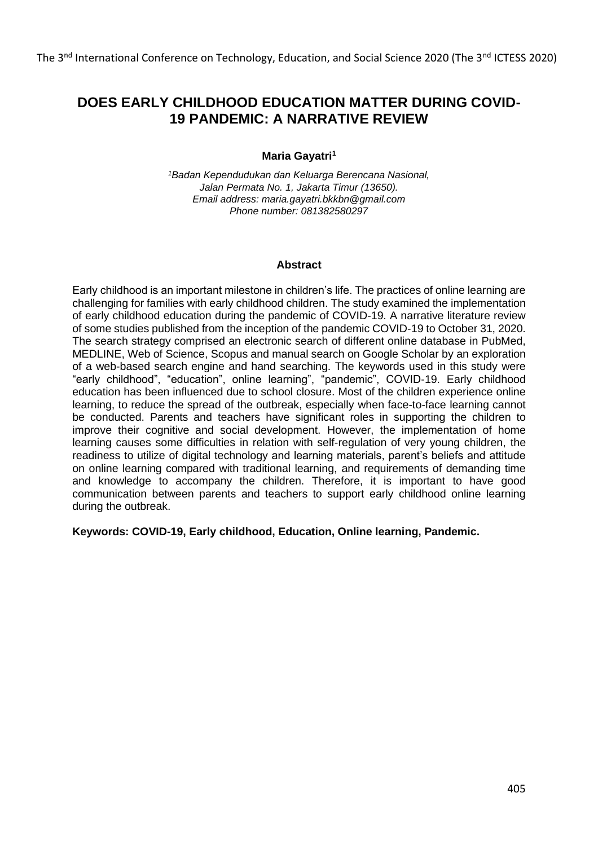# **DOES EARLY CHILDHOOD EDUCATION MATTER DURING COVID-19 PANDEMIC: A NARRATIVE REVIEW**

## **Maria Gayatri<sup>1</sup>**

*<sup>1</sup>Badan Kependudukan dan Keluarga Berencana Nasional, Jalan Permata No. 1, Jakarta Timur (13650). Email address: maria.gayatri.bkkbn@gmail.com Phone number: 081382580297*

#### **Abstract**

Early childhood is an important milestone in children's life. The practices of online learning are challenging for families with early childhood children. The study examined the implementation of early childhood education during the pandemic of COVID-19. A narrative literature review of some studies published from the inception of the pandemic COVID-19 to October 31, 2020. The search strategy comprised an electronic search of different online database in PubMed, MEDLINE, Web of Science, Scopus and manual search on Google Scholar by an exploration of a web-based search engine and hand searching. The keywords used in this study were "early childhood", "education", online learning", "pandemic", COVID-19. Early childhood education has been influenced due to school closure. Most of the children experience online learning, to reduce the spread of the outbreak, especially when face-to-face learning cannot be conducted. Parents and teachers have significant roles in supporting the children to improve their cognitive and social development. However, the implementation of home learning causes some difficulties in relation with self-regulation of very young children, the readiness to utilize of digital technology and learning materials, parent's beliefs and attitude on online learning compared with traditional learning, and requirements of demanding time and knowledge to accompany the children. Therefore, it is important to have good communication between parents and teachers to support early childhood online learning during the outbreak.

**Keywords: COVID-19, Early childhood, Education, Online learning, Pandemic.**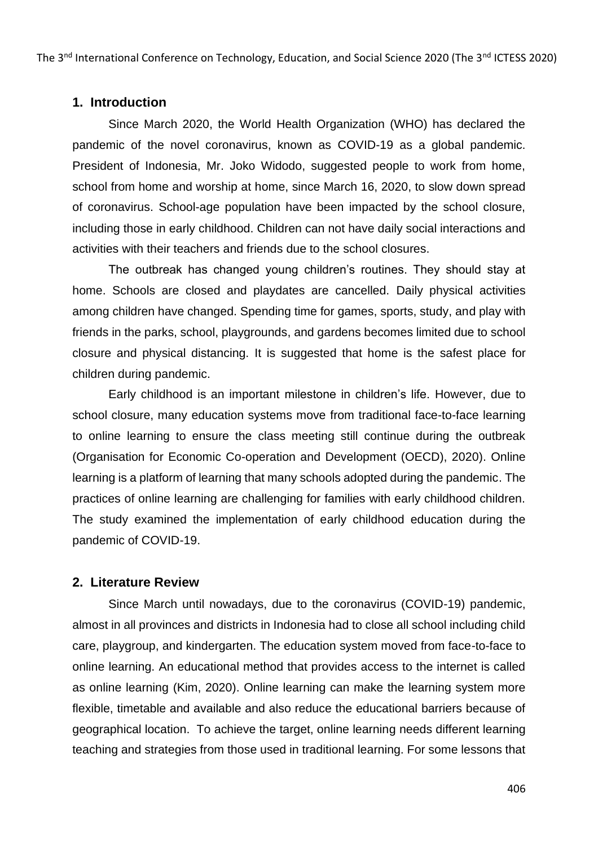The 3<sup>nd</sup> International Conference on Technology, Education, and Social Science 2020 (The 3<sup>nd</sup> ICTESS 2020)

## **1. Introduction**

Since March 2020, the World Health Organization (WHO) has declared the pandemic of the novel coronavirus, known as COVID-19 as a global pandemic. President of Indonesia, Mr. Joko Widodo, suggested people to work from home, school from home and worship at home, since March 16, 2020, to slow down spread of coronavirus. School-age population have been impacted by the school closure, including those in early childhood. Children can not have daily social interactions and activities with their teachers and friends due to the school closures.

The outbreak has changed young children's routines. They should stay at home. Schools are closed and playdates are cancelled. Daily physical activities among children have changed. Spending time for games, sports, study, and play with friends in the parks, school, playgrounds, and gardens becomes limited due to school closure and physical distancing. It is suggested that home is the safest place for children during pandemic.

Early childhood is an important milestone in children's life. However, due to school closure, many education systems move from traditional face-to-face learning to online learning to ensure the class meeting still continue during the outbreak (Organisation for Economic Co-operation and Development (OECD), 2020). Online learning is a platform of learning that many schools adopted during the pandemic. The practices of online learning are challenging for families with early childhood children. The study examined the implementation of early childhood education during the pandemic of COVID-19.

## **2. Literature Review**

Since March until nowadays, due to the coronavirus (COVID-19) pandemic, almost in all provinces and districts in Indonesia had to close all school including child care, playgroup, and kindergarten. The education system moved from face-to-face to online learning. An educational method that provides access to the internet is called as online learning (Kim, 2020). Online learning can make the learning system more flexible, timetable and available and also reduce the educational barriers because of geographical location. To achieve the target, online learning needs different learning teaching and strategies from those used in traditional learning. For some lessons that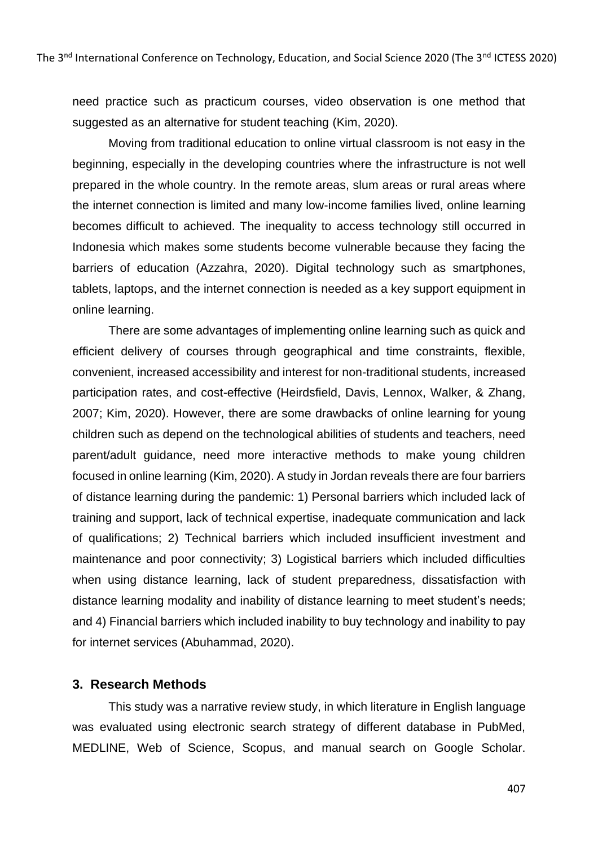need practice such as practicum courses, video observation is one method that suggested as an alternative for student teaching (Kim, 2020).

Moving from traditional education to online virtual classroom is not easy in the beginning, especially in the developing countries where the infrastructure is not well prepared in the whole country. In the remote areas, slum areas or rural areas where the internet connection is limited and many low-income families lived, online learning becomes difficult to achieved. The inequality to access technology still occurred in Indonesia which makes some students become vulnerable because they facing the barriers of education (Azzahra, 2020). Digital technology such as smartphones, tablets, laptops, and the internet connection is needed as a key support equipment in online learning.

There are some advantages of implementing online learning such as quick and efficient delivery of courses through geographical and time constraints, flexible, convenient, increased accessibility and interest for non-traditional students, increased participation rates, and cost-effective (Heirdsfield, Davis, Lennox, Walker, & Zhang, 2007; Kim, 2020). However, there are some drawbacks of online learning for young children such as depend on the technological abilities of students and teachers, need parent/adult guidance, need more interactive methods to make young children focused in online learning (Kim, 2020). A study in Jordan reveals there are four barriers of distance learning during the pandemic: 1) Personal barriers which included lack of training and support, lack of technical expertise, inadequate communication and lack of qualifications; 2) Technical barriers which included insufficient investment and maintenance and poor connectivity; 3) Logistical barriers which included difficulties when using distance learning, lack of student preparedness, dissatisfaction with distance learning modality and inability of distance learning to meet student's needs; and 4) Financial barriers which included inability to buy technology and inability to pay for internet services (Abuhammad, 2020).

## **3. Research Methods**

This study was a narrative review study, in which literature in English language was evaluated using electronic search strategy of different database in PubMed, MEDLINE, Web of Science, Scopus, and manual search on Google Scholar.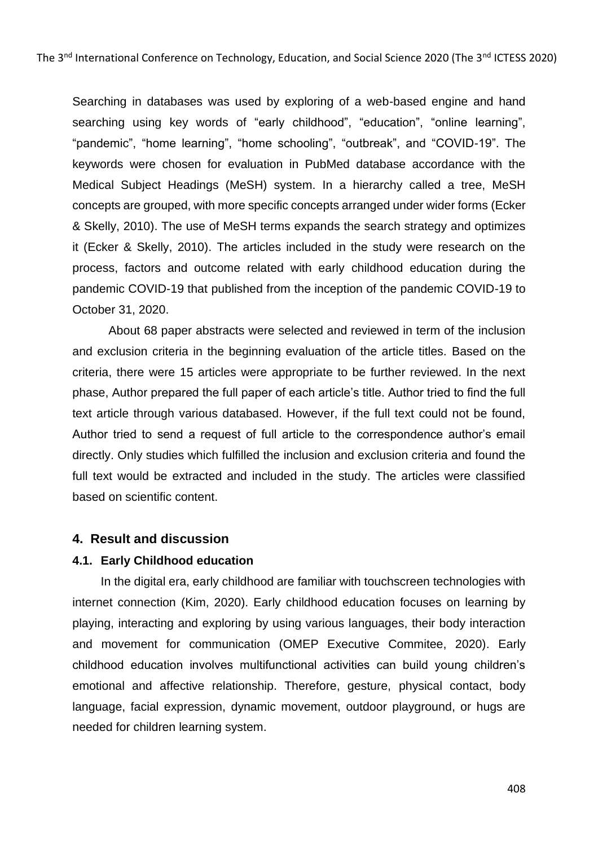Searching in databases was used by exploring of a web-based engine and hand searching using key words of "early childhood", "education", "online learning", "pandemic", "home learning", "home schooling", "outbreak", and "COVID-19". The keywords were chosen for evaluation in PubMed database accordance with the Medical Subject Headings (MeSH) system. In a hierarchy called a tree, MeSH concepts are grouped, with more specific concepts arranged under wider forms (Ecker & Skelly, 2010). The use of MeSH terms expands the search strategy and optimizes it (Ecker & Skelly, 2010). The articles included in the study were research on the process, factors and outcome related with early childhood education during the pandemic COVID-19 that published from the inception of the pandemic COVID-19 to October 31, 2020.

About 68 paper abstracts were selected and reviewed in term of the inclusion and exclusion criteria in the beginning evaluation of the article titles. Based on the criteria, there were 15 articles were appropriate to be further reviewed. In the next phase, Author prepared the full paper of each article's title. Author tried to find the full text article through various databased. However, if the full text could not be found, Author tried to send a request of full article to the correspondence author's email directly. Only studies which fulfilled the inclusion and exclusion criteria and found the full text would be extracted and included in the study. The articles were classified based on scientific content.

## **4. Result and discussion**

## **4.1. Early Childhood education**

In the digital era, early childhood are familiar with touchscreen technologies with internet connection (Kim, 2020). Early childhood education focuses on learning by playing, interacting and exploring by using various languages, their body interaction and movement for communication (OMEP Executive Commitee, 2020). Early childhood education involves multifunctional activities can build young children's emotional and affective relationship. Therefore, gesture, physical contact, body language, facial expression, dynamic movement, outdoor playground, or hugs are needed for children learning system.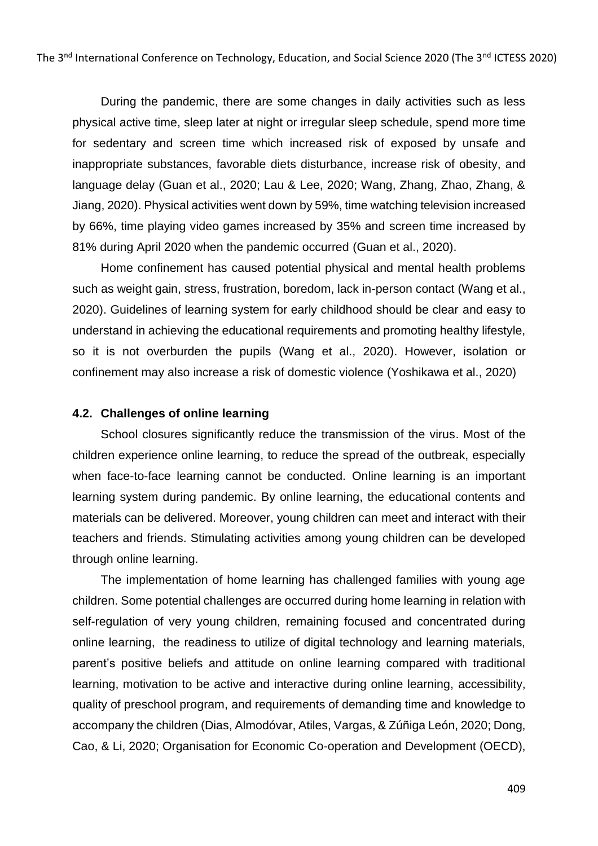During the pandemic, there are some changes in daily activities such as less physical active time, sleep later at night or irregular sleep schedule, spend more time for sedentary and screen time which increased risk of exposed by unsafe and inappropriate substances, favorable diets disturbance, increase risk of obesity, and language delay (Guan et al., 2020; Lau & Lee, 2020; Wang, Zhang, Zhao, Zhang, & Jiang, 2020). Physical activities went down by 59%, time watching television increased by 66%, time playing video games increased by 35% and screen time increased by 81% during April 2020 when the pandemic occurred (Guan et al., 2020).

Home confinement has caused potential physical and mental health problems such as weight gain, stress, frustration, boredom, lack in-person contact (Wang et al., 2020). Guidelines of learning system for early childhood should be clear and easy to understand in achieving the educational requirements and promoting healthy lifestyle, so it is not overburden the pupils (Wang et al., 2020). However, isolation or confinement may also increase a risk of domestic violence (Yoshikawa et al., 2020)

## **4.2. Challenges of online learning**

School closures significantly reduce the transmission of the virus. Most of the children experience online learning, to reduce the spread of the outbreak, especially when face-to-face learning cannot be conducted. Online learning is an important learning system during pandemic. By online learning, the educational contents and materials can be delivered. Moreover, young children can meet and interact with their teachers and friends. Stimulating activities among young children can be developed through online learning.

The implementation of home learning has challenged families with young age children. Some potential challenges are occurred during home learning in relation with self-regulation of very young children, remaining focused and concentrated during online learning, the readiness to utilize of digital technology and learning materials, parent's positive beliefs and attitude on online learning compared with traditional learning, motivation to be active and interactive during online learning, accessibility, quality of preschool program, and requirements of demanding time and knowledge to accompany the children (Dias, Almodóvar, Atiles, Vargas, & Zúñiga León, 2020; Dong, Cao, & Li, 2020; Organisation for Economic Co-operation and Development (OECD),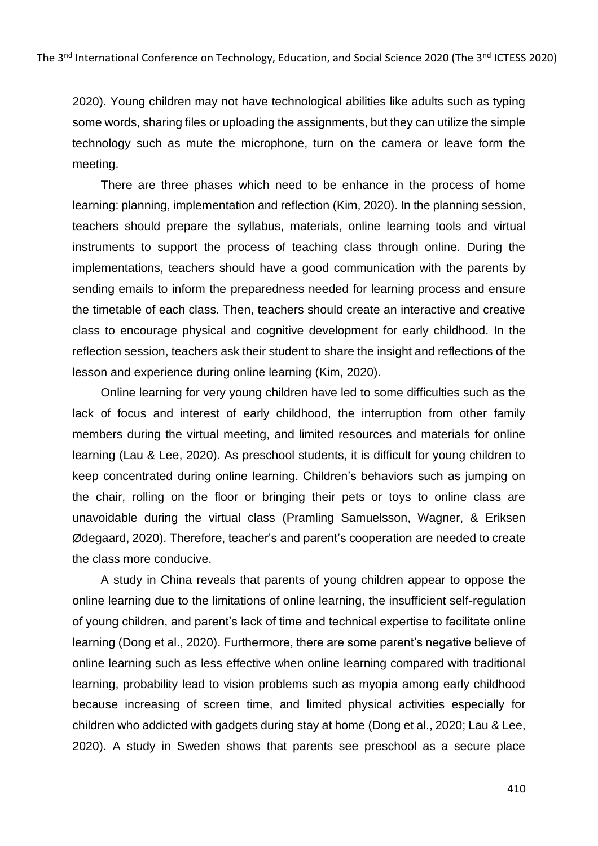2020). Young children may not have technological abilities like adults such as typing some words, sharing files or uploading the assignments, but they can utilize the simple technology such as mute the microphone, turn on the camera or leave form the meeting.

There are three phases which need to be enhance in the process of home learning: planning, implementation and reflection (Kim, 2020). In the planning session, teachers should prepare the syllabus, materials, online learning tools and virtual instruments to support the process of teaching class through online. During the implementations, teachers should have a good communication with the parents by sending emails to inform the preparedness needed for learning process and ensure the timetable of each class. Then, teachers should create an interactive and creative class to encourage physical and cognitive development for early childhood. In the reflection session, teachers ask their student to share the insight and reflections of the lesson and experience during online learning (Kim, 2020).

Online learning for very young children have led to some difficulties such as the lack of focus and interest of early childhood, the interruption from other family members during the virtual meeting, and limited resources and materials for online learning (Lau & Lee, 2020). As preschool students, it is difficult for young children to keep concentrated during online learning. Children's behaviors such as jumping on the chair, rolling on the floor or bringing their pets or toys to online class are unavoidable during the virtual class (Pramling Samuelsson, Wagner, & Eriksen Ødegaard, 2020). Therefore, teacher's and parent's cooperation are needed to create the class more conducive.

A study in China reveals that parents of young children appear to oppose the online learning due to the limitations of online learning, the insufficient self-regulation of young children, and parent's lack of time and technical expertise to facilitate online learning (Dong et al., 2020). Furthermore, there are some parent's negative believe of online learning such as less effective when online learning compared with traditional learning, probability lead to vision problems such as myopia among early childhood because increasing of screen time, and limited physical activities especially for children who addicted with gadgets during stay at home (Dong et al., 2020; Lau & Lee, 2020). A study in Sweden shows that parents see preschool as a secure place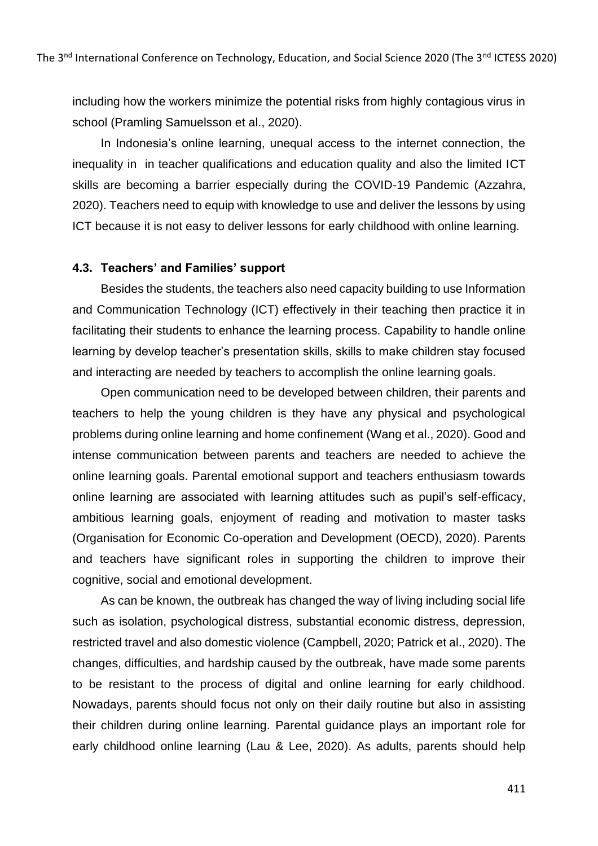including how the workers minimize the potential risks from highly contagious virus in school (Pramling Samuelsson et al., 2020).

In Indonesia's online learning, unequal access to the internet connection, the inequality in in teacher qualifications and education quality and also the limited ICT skills are becoming a barrier especially during the COVID-19 Pandemic (Azzahra, 2020). Teachers need to equip with knowledge to use and deliver the lessons by using ICT because it is not easy to deliver lessons for early childhood with online learning.

#### **4.3. Teachers' and Families' support**

Besides the students, the teachers also need capacity building to use Information and Communication Technology (ICT) effectively in their teaching then practice it in facilitating their students to enhance the learning process. Capability to handle online learning by develop teacher's presentation skills, skills to make children stay focused and interacting are needed by teachers to accomplish the online learning goals.

Open communication need to be developed between children, their parents and teachers to help the young children is they have any physical and psychological problems during online learning and home confinement (Wang et al., 2020). Good and intense communication between parents and teachers are needed to achieve the online learning goals. Parental emotional support and teachers enthusiasm towards online learning are associated with learning attitudes such as pupil's self-efficacy, ambitious learning goals, enjoyment of reading and motivation to master tasks (Organisation for Economic Co-operation and Development (OECD), 2020). Parents and teachers have significant roles in supporting the children to improve their cognitive, social and emotional development.

As can be known, the outbreak has changed the way of living including social life such as isolation, psychological distress, substantial economic distress, depression, restricted travel and also domestic violence (Campbell, 2020; Patrick et al., 2020). The changes, difficulties, and hardship caused by the outbreak, have made some parents to be resistant to the process of digital and online learning for early childhood. Nowadays, parents should focus not only on their daily routine but also in assisting their children during online learning. Parental guidance plays an important role for early childhood online learning (Lau & Lee, 2020). As adults, parents should help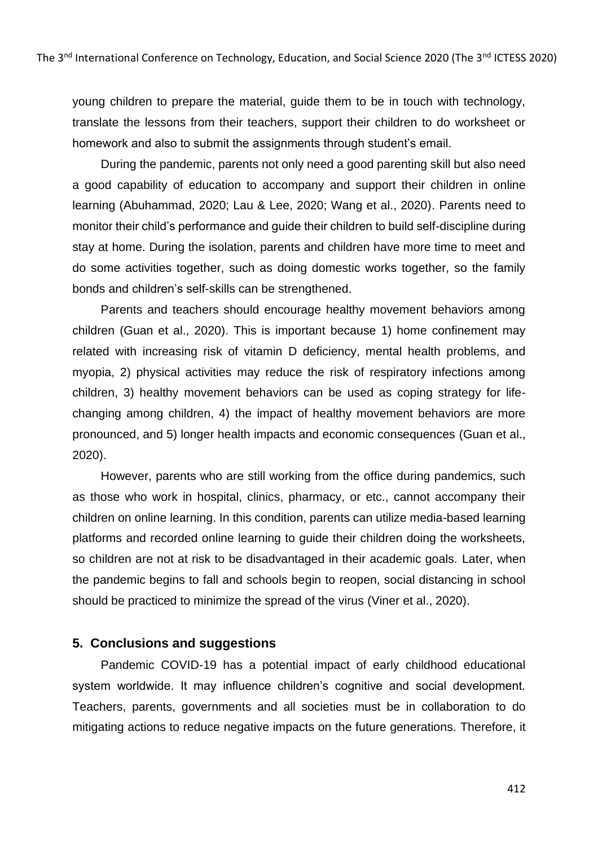young children to prepare the material, guide them to be in touch with technology, translate the lessons from their teachers, support their children to do worksheet or homework and also to submit the assignments through student's email.

During the pandemic, parents not only need a good parenting skill but also need a good capability of education to accompany and support their children in online learning (Abuhammad, 2020; Lau & Lee, 2020; Wang et al., 2020). Parents need to monitor their child's performance and guide their children to build self-discipline during stay at home. During the isolation, parents and children have more time to meet and do some activities together, such as doing domestic works together, so the family bonds and children's self-skills can be strengthened.

Parents and teachers should encourage healthy movement behaviors among children (Guan et al., 2020). This is important because 1) home confinement may related with increasing risk of vitamin D deficiency, mental health problems, and myopia, 2) physical activities may reduce the risk of respiratory infections among children, 3) healthy movement behaviors can be used as coping strategy for lifechanging among children, 4) the impact of healthy movement behaviors are more pronounced, and 5) longer health impacts and economic consequences (Guan et al., 2020).

However, parents who are still working from the office during pandemics, such as those who work in hospital, clinics, pharmacy, or etc., cannot accompany their children on online learning. In this condition, parents can utilize media-based learning platforms and recorded online learning to guide their children doing the worksheets, so children are not at risk to be disadvantaged in their academic goals. Later, when the pandemic begins to fall and schools begin to reopen, social distancing in school should be practiced to minimize the spread of the virus (Viner et al., 2020).

## **5. Conclusions and suggestions**

Pandemic COVID-19 has a potential impact of early childhood educational system worldwide. It may influence children's cognitive and social development. Teachers, parents, governments and all societies must be in collaboration to do mitigating actions to reduce negative impacts on the future generations. Therefore, it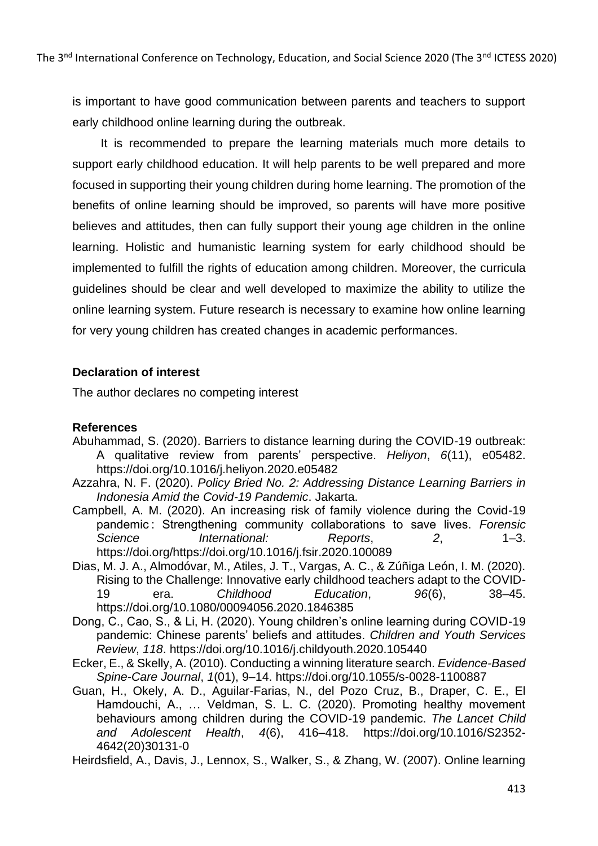is important to have good communication between parents and teachers to support early childhood online learning during the outbreak.

It is recommended to prepare the learning materials much more details to support early childhood education. It will help parents to be well prepared and more focused in supporting their young children during home learning. The promotion of the benefits of online learning should be improved, so parents will have more positive believes and attitudes, then can fully support their young age children in the online learning. Holistic and humanistic learning system for early childhood should be implemented to fulfill the rights of education among children. Moreover, the curricula guidelines should be clear and well developed to maximize the ability to utilize the online learning system. Future research is necessary to examine how online learning for very young children has created changes in academic performances.

# **Declaration of interest**

The author declares no competing interest

## **References**

- Abuhammad, S. (2020). Barriers to distance learning during the COVID-19 outbreak: A qualitative review from parents' perspective. *Heliyon*, *6*(11), e05482. https://doi.org/10.1016/j.heliyon.2020.e05482
- Azzahra, N. F. (2020). *Policy Bried No. 2: Addressing Distance Learning Barriers in Indonesia Amid the Covid-19 Pandemic*. Jakarta.
- Campbell, A. M. (2020). An increasing risk of family violence during the Covid-19 pandemic : Strengthening community collaborations to save lives. *Forensic Science International: Reports*, *2*, 1–3. https://doi.org/https://doi.org/10.1016/j.fsir.2020.100089
- Dias, M. J. A., Almodóvar, M., Atiles, J. T., Vargas, A. C., & Zúñiga León, I. M. (2020). Rising to the Challenge: Innovative early childhood teachers adapt to the COVID-19 era. *Childhood Education*, *96*(6), 38–45. https://doi.org/10.1080/00094056.2020.1846385
- Dong, C., Cao, S., & Li, H. (2020). Young children's online learning during COVID-19 pandemic: Chinese parents' beliefs and attitudes. *Children and Youth Services Review*, *118*. https://doi.org/10.1016/j.childyouth.2020.105440
- Ecker, E., & Skelly, A. (2010). Conducting a winning literature search. *Evidence-Based Spine-Care Journal*, *1*(01), 9–14. https://doi.org/10.1055/s-0028-1100887
- Guan, H., Okely, A. D., Aguilar-Farias, N., del Pozo Cruz, B., Draper, C. E., El Hamdouchi, A., … Veldman, S. L. C. (2020). Promoting healthy movement behaviours among children during the COVID-19 pandemic. *The Lancet Child and Adolescent Health*, *4*(6), 416–418. https://doi.org/10.1016/S2352- 4642(20)30131-0

Heirdsfield, A., Davis, J., Lennox, S., Walker, S., & Zhang, W. (2007). Online learning